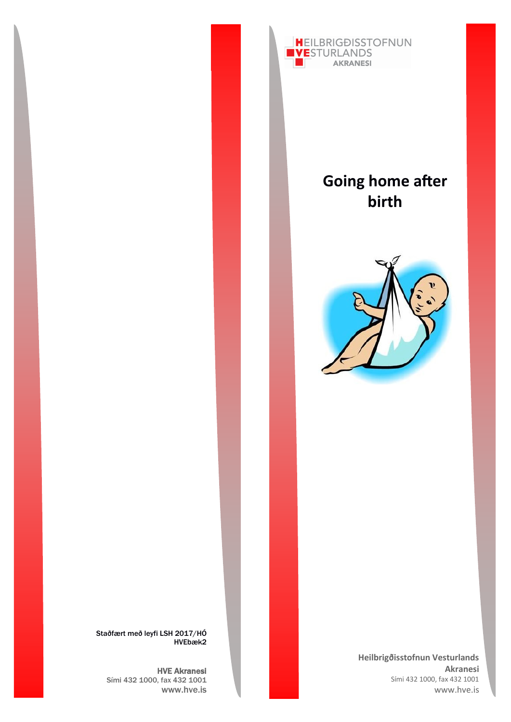

# **Going home after birth**



**Heilbrigðisstofnun Vesturlands Akranesi** Sími 432 1000, fax 432 1001 www.hve.is

Staðfært með leyfi LSH 2017/HÓ HVEbæk2

HVE Akranesi Sími 432 1000, fax 432 1001 www.hve.is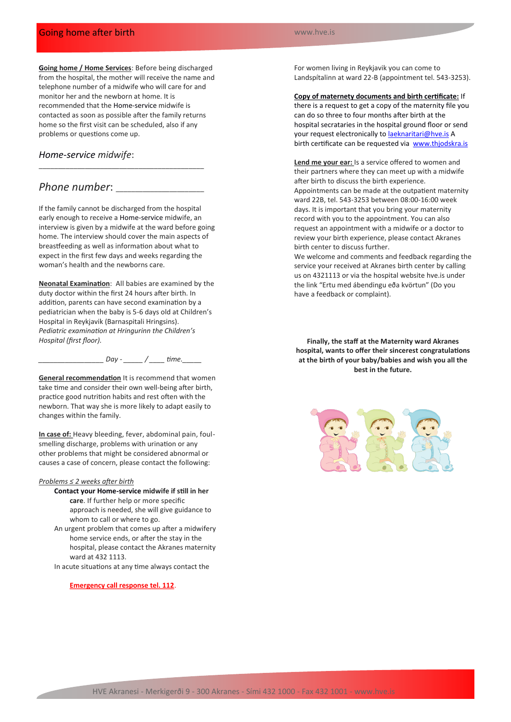# Going home after birth

#### www.hve.is

**Going home / Home Services**: Before being discharged from the hospital, the mother will receive the name and telephone number of a midwife who will care for and monitor her and the newborn at home. It is recommended that the Home-service midwife is contacted as soon as possible after the family returns home so the first visit can be scheduled, also if any problems or questions come up.

## *Home-service midwife*:

# *Phone number*: \_\_\_\_\_\_\_\_\_\_\_\_\_\_\_\_\_\_\_\_\_\_\_

If the family cannot be discharged from the hospital early enough to receive a Home-service midwife, an interview is given by a midwife at the ward before going home. The interview should cover the main aspects of breastfeeding as well as information about what to expect in the first few days and weeks regarding the woman's health and the newborns care.

\_\_\_\_\_\_\_\_\_\_\_\_\_\_\_\_\_\_\_\_\_\_\_\_\_\_\_\_\_\_\_\_\_\_\_\_\_\_\_\_\_\_\_

**Neonatal Examination**: All babies are examined by the duty doctor within the first 24 hours after birth. In addition, parents can have second examination by a pediatrician when the baby is 5-6 days old at Children's Hospital in Reykjavik (Barnaspitali Hringsins). *Pediatric examination at Hringurinn the Children's Hospital (first floor).*

*\_\_\_\_\_\_\_\_\_\_\_\_\_\_\_\_\_ Day - \_\_\_\_\_ / \_\_\_\_ time.\_\_\_\_\_*

**General recommendation** It is recommend that women take time and consider their own well-being after birth, practice good nutrition habits and rest often with the newborn. That way she is more likely to adapt easily to changes within the family.

**In case of:** Heavy bleeding, fever, abdominal pain, foulsmelling discharge, problems with urination or any other problems that might be considered abnormal or causes a case of concern, please contact the following:

## *Problems ≤ 2 weeks after birth*

- **Contact your Home-service midwife if still in her care**. If further help or more specific approach is needed, she will give guidance to whom to call or where to go.
- An urgent problem that comes up after a midwifery home service ends, or after the stay in the hospital, please contact the Akranes maternity ward at 432 1113.
- In acute situations at any time always contact the

**Emergency call response tel. 112**.

For women living in Reykjavik you can come to Landspítalinn at ward 22-B (appointment tel. 543-3253).

**Copy of maternety documents and birth certificate:** If

there is a request to get a copy of the maternity file you can do so three to four months after birth at the hospital secrataries in the hospital ground floor or send your request electronically to [laeknaritari@hve.is](mailto:laeknaritari@hve.is) A birth certificate can be requested via [www.thjodskra.is](http://www.thjodskra.is)

**Lend me your ear:** Is a service offered to women and their partners where they can meet up with a midwife after birth to discuss the birth experience. Appointments can be made at the outpatient maternity ward 22B, tel. 543-3253 between 08:00-16:00 week days. It is important that you bring your maternity record with you to the appointment. You can also request an appointment with a midwife or a doctor to review your birth experience, please contact Akranes birth center to discuss further.

We welcome and comments and feedback regarding the service your received at Akranes birth center by calling us on 4321113 or via the hospital website hve.is under the link "Ertu med ábendingu eða kvörtun" (Do you have a feedback or complaint).

**Finally, the staff at the Maternity ward Akranes hospital, wants to offer their sincerest congratulations at the birth of your baby/babies and wish you all the best in the future.**

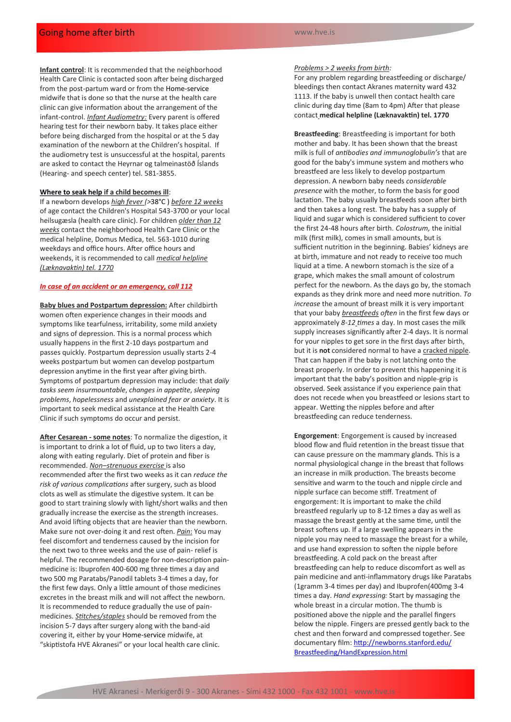**Infant control**: It is recommended that the neighborhood Health Care Clinic is contacted soon after being discharged from the post-partum ward or from the Home-service midwife that is done so that the nurse at the health care clinic can give information about the arrangement of the infant-control. *Infant Audiometry:* Every parent is offered hearing test for their newborn baby. It takes place either before being discharged from the hospital or at the 5 day examination of the newborn at the Children's hospital. If the audiometry test is unsuccessful at the hospital, parents are asked to contact the Heyrnar og talmeinastöð Íslands (Hearing- and speech center) tel. 581-3855.

#### **Where to seak help if a child becomes ill**:

If a newborn develops *high fever (>*38°C ) *before 12 weeks* of age contact the Children's Hospital 543-3700 or your local heilsugæsla (health care clinic). For children *older than 12 weeks* contact the neighborhood Health Care Clinic or the medical helpline, Domus Medica, tel. 563-1010 during weekdays and office hours. After office hours and weekends, it is recommended to call *medical helpline (Læknavaktin) tel. 1770*

## *In case of an accident or an emergency, call 112*

**Baby blues and Postpartum depression:** After childbirth women often experience changes in their moods and symptoms like tearfulness, irritability, some mild anxiety and signs of depression. This is a normal process which usually happens in the first 2-10 days postpartum and passes quickly. Postpartum depression usually starts 2-4 weeks postpartum but women can develop postpartum depression anytime in the first year after giving birth. Symptoms of postpartum depression may include: that *daily tasks seem insurmountable*, *changes in appetite*, *sleeping problems*, *hopelessness* and *unexplained fear or anxiety*. It is important to seek medical assistance at the Health Care Clinic if such symptoms do occur and persist.

**After Cesarean - some notes**: To normalize the digestion, it is important to drink a lot of fluid, up to two liters a day, along with eating regularly. Diet of protein and fiber is recommended. *Non–strenuous exercise* is also recommended after the first two weeks as it can *reduce the risk of various complications* after surgery, such as blood clots as well as stimulate the digestive system. It can be good to start training slowly with light/short walks and then gradually increase the exercise as the strength increases. And avoid lifting objects that are heavier than the newborn. Make sure not over-doing it and rest often. *Pain*: You may feel discomfort and tenderness caused by the incision for the next two to three weeks and the use of pain- relief is helpful. The recommended dosage for non-description painmedicine is: Ibuprofen 400-600 mg three times a day and two 500 mg Paratabs/Panodil tablets 3-4 times a day, for the first few days. Only a little amount of those medicines excretes in the breast milk and will not affect the newborn. It is recommended to reduce gradually the use of painmedicines. *Stitches/staples* should be removed from the incision 5-7 days after surgery along with the band-aid covering it, either by your Home-service midwife, at "skiptistofa HVE Akranesi" or your local health care clinic.

### *Problems > 2 weeks from birth:*

For any problem regarding breastfeeding or discharge/ bleedings then contact Akranes maternity ward 432 1113. If the baby is unwell then contact health care clinic during day time (8am to 4pm) After that please contact **medical helpline (Læknavaktin) tel. 1770**

**Breastfeeding**: Breastfeeding is important for both mother and baby. It has been shown that the breast milk is full of *antibodies and immunoglobulin's* that are good for the baby's immune system and mothers who breastfeed are less likely to develop postpartum depression. A newborn baby needs *considerable presence* with the mother, to form the basis for good lactation. The baby usually breastfeeds soon after birth and then takes a long rest. The baby has a supply of liquid and sugar which is considered sufficient to cover the first 24-48 hours after birth. *Colostrum,* the initial milk (first milk), comes in small amounts, but is sufficient nutrition in the beginning. Babies' kidneys are at birth, immature and not ready to receive too much liquid at a time. A newborn stomach is the size of a grape, which makes the small amount of colostrum perfect for the newborn. As the days go by, the stomach expands as they drink more and need more nutrition. *To increase* the amount of breast milk it is very important that your baby *breastfeeds often* in the first few days or approximately *8-12 times* a day. In most cases the milk supply increases significantly after 2-4 days. It is normal for your nipples to get sore in the first days after birth, but it is **not** considered normal to have a cracked nipple. That can happen if the baby is not latching onto the breast properly. In order to prevent this happening it is important that the baby's position and nipple-grip is observed. Seek assistance if you experience pain that does not recede when you breastfeed or lesions start to appear. Wetting the nipples before and after breastfeeding can reduce tenderness.

**Engorgement**: Engorgement is caused by increased blood flow and fluid retention in the breast tissue that can cause pressure on the mammary glands. This is a normal physiological change in the breast that follows an increase in milk production. The breasts become sensitive and warm to the touch and nipple circle and nipple surface can become stiff. Treatment of engorgement: It is important to make the child breastfeed regularly up to 8-12 times a day as well as massage the breast gently at the same time, until the breast softens up. If a large swelling appears in the nipple you may need to massage the breast for a while, and use hand expression to soften the nipple before breastfeeding. A cold pack on the breast after breastfeeding can help to reduce discomfort as well as pain medicine and anti-inflammatory drugs like Paratabs (1gramm 3-4 times per day) and Ibuprofen(400mg 3-4 times a day. *Hand expressing:* Start by massaging the whole breast in a circular motion. The thumb is positioned above the nipple and the parallel fingers below the nipple. Fingers are pressed gently back to the chest and then forward and compressed together. See documentary film: [http://newborns.stanford.edu/](http://newborns.stanford.edu/Breastfeeding/HandExpression.html) [Breastfeeding/HandExpression.html](http://newborns.stanford.edu/Breastfeeding/HandExpression.html)